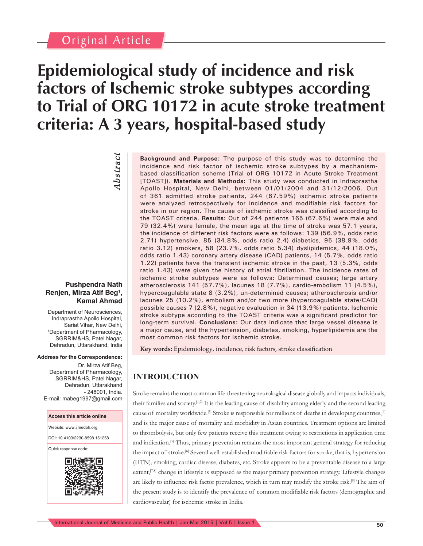## Original Article

# **Epidemiological study of incidence and risk factors of Ischemic stroke subtypes according to Trial of ORG 10172 in acute stroke treatment criteria: A 3 years, hospital-based study**

*Abstract* **Abstract** 

#### **Pushpendra Nath Renjen, Mirza Atif Beg1 , Kamal Ahmad**

Department of Neurosciences, Indraprastha Apollo Hospital, Sariat Vihar, New Delhi, 1 Department of Pharmacology, SGRRIM&HS, Patel Nagar, Dehradun, Uttarakhand, India

#### **Address for the Correspondence:**

Dr. Mirza Atif Beg, Department of Pharmacology, SGRRIM&HS, Patel Nagar, Dehradun, Uttarakhand - 248001, India. E-mail: mabeg1997@gmail.com



**Background and Purpose:** The purpose of this study was to determine the incidence and risk factor of ischemic stroke subtypes by a mechanismbased classification scheme (Trial of ORG 10172 in Acute Stroke Treatment [TOAST]). **Materials and Methods:** This study was conducted in Indraprastha Apollo Hospital, New Delhi, between 01/01/2004 and 31/12/2006. Out of 361 admitted stroke patients, 244 (67.59%) ischemic stroke patients were analyzed retrospectively for incidence and modifiable risk factors for stroke in our region. The cause of ischemic stroke was classified according to the TOAST criteria. **Results:** Out of 244 patients 165 (67.6%) were male and 79 (32.4%) were female, the mean age at the time of stroke was 57.1 years, the incidence of different risk factors were as follows: 139 (56.9%, odds ratio 2.71) hypertensive, 85 (34.8%, odds ratio 2.4) diabetics, 95 (38.9%, odds ratio 3.12) smokers, 58 (23.7%, odds ratio 5.34) dyslipidemics, 44 (18.0%, odds ratio 1.43) coronary artery disease (CAD) patients, 14 (5.7%, odds ratio 1.22) patients have the transient ischemic stroke in the past, 13 (5.3%, odds ratio 1.43) were given the history of atrial fibrillation. The incidence rates of ischemic stroke subtypes were as follows: Determined causes; large artery atherosclerosis 141 (57.7%), lacunes 18 (7.7%), cardio-embolism 11 (4.5%), hypercoagulable state 8 (3.2%), un-determined causes; atherosclerosis and/or lacunes 25 (10.2%), embolism and/or two more (hypercoagulable state/CAD) possible causes 7 (2.8%), negative evaluation in 34 (13.9%) patients. Ischemic stroke subtype according to the TOAST criteria was a significant predictor for long-term survival. **Conclusions:** Our data indicate that large vessel disease is a major cause, and the hypertension, diabetes, smoking, hyperlipidemia are the most common risk factors for Ischemic stroke.

Key words: Epidemiology, incidence, risk factors, stroke classification

### **INTRODUCTION**

Stroke remains the most common life-threatening neurological disease globally and impacts individuals, their families and society.[1,2] It is the leading cause of disability among elderly and the second leading cause of mortality worldwide.<sup>[3]</sup> Stroke is responsible for millions of deaths in developing countries,<sup>[4]</sup> and is the major cause of mortality and morbidity in Asian countries. Treatment options are limited to thrombolysis, but only few patients receive this treatment owing to restrictions in application time and indication.<sup>[5]</sup> Thus, primary prevention remains the most important general strategy for reducing the impact of stroke.<sup>[6]</sup> Several well-established modifiable risk factors for stroke, that is, hypertension (HTN), smoking, cardiac disease, diabetes, etc. Stroke appears to be a preventable disease to a large extent,<sup>[7,8]</sup> change in lifestyle is supposed as the major primary prevention strategy. Lifestyle changes are likely to influence risk factor prevalence, which in turn may modify the stroke risk.<sup>[9]</sup> The aim of the present study is to identify the prevalence of common modifiable risk factors (demographic and cardiovascular) for ischemic stroke in India.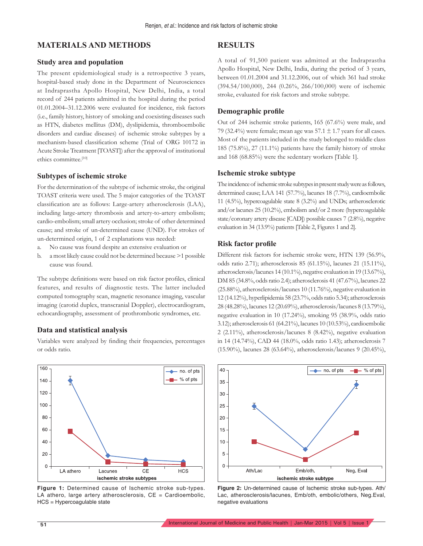#### **MATERIALS AND METHODS**

#### **Study area and population**

The present epidemiological study is a retrospective 3 years, hospital-based study done in the Department of Neurosciences at Indraprastha Apollo Hospital, New Delhi, India, a total record of 244 patients admitted in the hospital during the period 01.01.2004–31.12.2006 were evaluated for incidence, risk factors (i.e., family history, history of smoking and coexisting diseases such as HTN, diabetes mellitus (DM), dyslipidemia, thromboembolic disorders and cardiac diseases) of ischemic stroke subtypes by a mechanism-based classification scheme (Trial of ORG 10172 in Acute Stroke Treatment [TOAST]) after the approval of institutional ethics committee.<sup>[10]</sup>

#### **Subtypes of ischemic stroke**

For the determination of the subtype of ischemic stroke, the original TOAST criteria were used. The 5 major categories of the TOAST classification are as follows: Large-artery atherosclerosis (LAA), including large-artery thrombosis and artery-to-artery embolism; cardio-embolism; small artery occlusion; stroke of other determined cause; and stroke of un-determined cause (UND). For strokes of un-determined origin, 1 of 2 explanations was needed:

- a. No cause was found despite an extensive evaluation or
- b. a most likely cause could not be determined because >1 possible cause was found.

The subtype definitions were based on risk factor profiles, clinical features, and results of diagnostic tests. The latter included computed tomography scan, magnetic resonance imaging, vascular imaging (carotid duplex, transcranial Doppler), electrocardiogram, echocardiography, assessment of prothrombotic syndromes, etc.

#### **Data and statistical analysis**

Variables were analyzed by finding their frequencies, percentages or odds ratio.



**Figure 1:** Determined cause of Ischemic stroke sub-types. LA athero, large artery atherosclerosis,  $CE =$  Cardioembolic, HCS = Hypercoagulable state

#### **RESULTS**

A total of 91,500 patient was admitted at the Indraprastha Apollo Hospital, New Delhi, India, during the period of 3 years, between 01.01.2004 and 31.12.2006, out of which 361 had stroke (394.54/100,000), 244 (0.26%, 266/100,000) were of ischemic stroke, evaluated for risk factors and stroke subtype.

#### **Demographic profi le**

Out of 244 ischemic stroke patients, 165 (67.6%) were male, and 79 (32.4%) were female; mean age was  $57.1 \pm 1.7$  years for all cases. Most of the patients included in the study belonged to middle class 185 (75.8%), 27 (11.1%) patients have the family history of stroke and 168 (68.85%) were the sedentary workers [Table 1].

#### **Ischemic stroke subtype**

The incidence of ischemic stroke subtypes in present study were as follows, determined cause; LAA 141 (57.7%), lacunes 18 (7.7%), cardioembolic 11 (4.5%), hypercoagulable state 8 (3.2%) and UNDs; artherosclerotic and/or lacunes 25 (10.2%), embolism and/or 2 more (hypercoagulable state/coronary artery disease [CAD]) possible causes 7 (2.8%), negative evaluation in 34 (13.9%) patients [Table 2, Figures 1 and 2].

#### **Risk factor profi le**

Different risk factors for ischemic stroke were, HTN 139 (56.9%, odds ratio 2.71); atherosclerosis 85 (61.15%), lacunes 21 (15.11%), atherosclerosis/lacunes 14 (10.1%), negative evaluation in 19 (13.67%), DM 85 (34.8%, odds ratio 2.4); atherosclerosis 41 (47.67%), lacunes 22 (25.88%), atherosclerosis/lacunes 10 (11.76%), negative evaluation in 12 (14.12%), hyperlipidemia 58 (23.7%, odds ratio 5.34); atherosclerosis 28 (48.28%), lacunes 12 (20.69%), atherosclerosis/lacunes 8 (13.79%), negative evaluation in 10 (17.24%), smoking 95 (38.9%, odds ratio 3.12); atherosclerosis 61 (64.21%), lacunes 10 (10.53%), cardioembolic 2 (2.11%), atherosclerosis/lacunes 8 (8.42%), negative evaluation in 14 (14.74%), CAD 44 (18.0%, odds ratio 1.43); atherosclerosis 7 (15.90%), lacunes 28 (63.64%), atherosclerosis/lacunes 9 (20.45%),



**Figure 2:** Un-determined cause of Ischemic stroke sub-types. Ath/ Lac, atherosclerosis/lacunes, Emb/oth, embolic/others, Neg.Eval, negative evaluations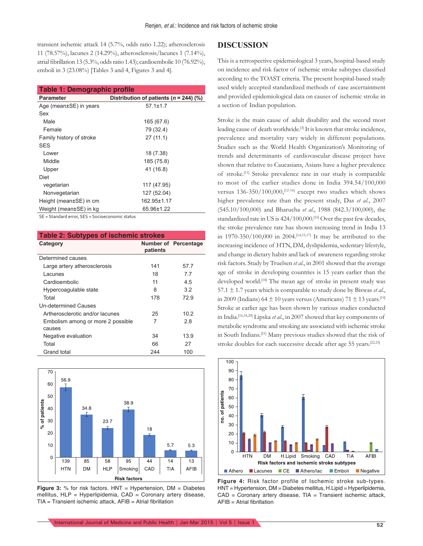transient ischemic attack 14 (5.7%, odds ratio 1.22); atherosclerosis 11 (78.57%), lacunes 2 (14.29%), atherosclerosis/lacunes 1 (7.14%), atrial fibrillation 13 (5.3%, odds ratio 1.43); cardioembolic 10 (76.92%), emboli in 3 (23.08%) [Tables 3 and 4, Figures 3 and 4].

| Table 1: Demographic profile |                                            |  |  |  |  |
|------------------------------|--------------------------------------------|--|--|--|--|
| <b>Parameter</b>             | Distribution of patients ( $n = 244$ ) (%) |  |  |  |  |
| Age (mean±SE) in years       | $57.1 \pm 1.7$                             |  |  |  |  |
| Sex                          |                                            |  |  |  |  |
| Male                         | 165 (67.6)                                 |  |  |  |  |
| Female                       | 79 (32.4)                                  |  |  |  |  |
| Family history of stroke     | 27(11.1)                                   |  |  |  |  |
| <b>SES</b>                   |                                            |  |  |  |  |
| Lower                        | 18 (7.38)                                  |  |  |  |  |
| Middle                       | 185 (75.8)                                 |  |  |  |  |
| Upper                        | 41 (16.8)                                  |  |  |  |  |
| Diet                         |                                            |  |  |  |  |
| vegetarian                   | 117 (47.95)                                |  |  |  |  |
| Nonvegetarian                | 127 (52.04)                                |  |  |  |  |
| Height (mean±SE) in cm       | 162.95±1.17                                |  |  |  |  |
| Weight (mean±SE) in kg       | 65.96±1.22                                 |  |  |  |  |

SE = Standard error, SES = Socioeconomic status

| <b>Table 2: Subtypes of ischemic strokes</b> |          |                             |  |  |  |  |
|----------------------------------------------|----------|-----------------------------|--|--|--|--|
| Category                                     | patients | <b>Number of Percentage</b> |  |  |  |  |
| Determined causes                            |          |                             |  |  |  |  |
| Large artery atherosclerosis                 | 141      | 57.7                        |  |  |  |  |
| Lacunes                                      | 18       | 77                          |  |  |  |  |
| Cardioembolic                                | 11       | 4.5                         |  |  |  |  |
| Hypercoagulable state                        | 8        | 3.2                         |  |  |  |  |
| Total                                        | 178      | 729                         |  |  |  |  |
| Un-determined Causes                         |          |                             |  |  |  |  |
| Artherosclerotic and/or lacunes              | 25       | 10.2                        |  |  |  |  |
| Embolism among or more 2 possible<br>causes  | 7        | 2.8                         |  |  |  |  |
| Negative evaluation                          | 34       | 13.9                        |  |  |  |  |
| Total                                        | 66       | 27                          |  |  |  |  |
| Grand total                                  | 244      | 100                         |  |  |  |  |



**Figure 3:** % for risk factors. HNT = Hypertension, DM = Diabetes mellitus, HLP = Hyperlipidemia, CAD = Coronary artery disease,  $TIA =$  Transient ischemic attack,  $AFIB =$  Atrial fibrillation

#### **DISCUSSION**

This is a retrospective epidemiological 3 years, hospital-based study on incidence and risk factor of ischemic stroke subtypes classified according to the TOAST criteria. The present hospital-based study used widely accepted standardized methods of case ascertainment and provided epidemiological data on causes of ischemic stroke in a section of Indian population.

Stroke is the main cause of adult disability and the second most leading cause of death worldwide.[3] It is known that stroke incidence, prevalence and mortality vary widely in different populations. Studies such as the World Health Organization's Monitoring of trends and determinants of cardiovascular disease project have shown that relative to Caucasians, Asians have a higher prevalence of stroke.[11] Stroke prevalence rate in our study is comparable to most of the earlier studies done in India 394.54/100,000 versus 136-350/100,000,<sup>[12-16]</sup> except two studies which shows higher prevalence rate than the present study, Das *et al*., 2007 (545.10/100,000) and Bharucha *et al*., 1988 (842.3/100,000), the standardized rate in US is 424/100,000.[16] Over the past few decades, the stroke prevalence rate has shown increasing trend in India 13 in 1970-350/100,000 in 2004.[14,15,17] It may be attributed to the increasing incidence of HTN, DM, dyslipidemia, sedentary lifestyle, and change in dietary habits and lack of awareness regarding stroke risk factors. Study by Truelsen *et al*., in 2001 showed that the average age of stroke in developing countries is 15 years earlier than the developed world.<sup>[18]</sup> The mean age of stroke in present study was 57.1  $\pm$  1.7 years which is comparable to study done by Biswas *et al.*, in 2009 (Indians) 64  $\pm$  10 years versus (Americans) 71  $\pm$  13 years.<sup>[19]</sup> Stroke at earlier age has been shown by various studies conducted in India.[16,18,20] Lipska *et al*., in 2007 showed that key components of metabolic syndrome and smoking are associated with ischemic stroke in South Indians.[21] Many previous studies showed that the risk of stroke doubles for each successive decade after age 55 years.<sup>[22,23]</sup>



**Figure 4:** Risk factor profile of Ischemic stroke sub-types. HNT = Hypertension, DM = Diabetes mellitus, H.Lipid = Hyperlipidemia,  $CAD = Coronary$  artery disease,  $TIA = Transient$  ischemic attack,  $AFIB = Atrial fibrillation$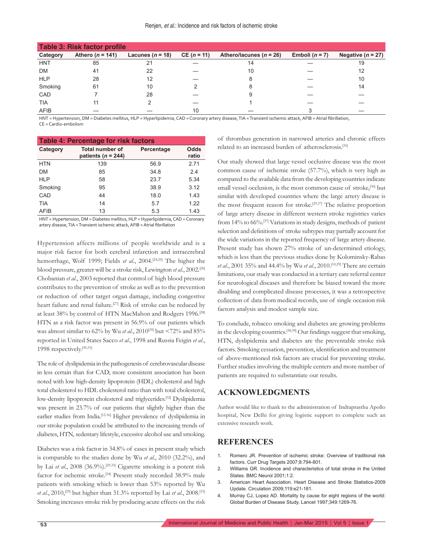| <b>Table 3: Risk factor profile</b> |                    |                      |               |                             |                  |                       |  |
|-------------------------------------|--------------------|----------------------|---------------|-----------------------------|------------------|-----------------------|--|
| Category                            | Athero $(n = 141)$ | Lacunes ( $n = 18$ ) | $CE (n = 11)$ | Athero/lacunes ( $n = 26$ ) | Emboli $(n = 7)$ | Negative ( $n = 27$ ) |  |
| <b>HNT</b>                          | 85                 | 21                   |               |                             |                  | 19                    |  |
| <b>DM</b>                           | 41                 | 22                   |               | 10                          |                  | 12                    |  |
| <b>HLP</b>                          | 28                 | 12                   |               |                             |                  | 10                    |  |
| Smoking                             | 61                 | 10                   |               |                             |                  | 14                    |  |
| CAD                                 |                    | 28                   |               |                             |                  |                       |  |
| <b>TIA</b>                          | 11                 |                      |               |                             |                  |                       |  |
| AFIB                                |                    |                      | 10            |                             |                  |                       |  |

HNT = Hypertension, DM = Diabetes mellitus, HLP = Hyperlipidemia, CAD = Coronary artery disease, TIA = Transient ischemic attack, AFIB = Atrial fibrillation, CE = Cardio-embolism

| Table 4: Percentage for risk factors |                                                  |            |               |  |  |  |
|--------------------------------------|--------------------------------------------------|------------|---------------|--|--|--|
| Category                             | <b>Total number of</b><br>patients ( $n = 244$ ) | Percentage | Odds<br>ratio |  |  |  |
| <b>HTN</b>                           | 139                                              | 56.9       | 2.71          |  |  |  |
| <b>DM</b>                            | 85                                               | 34.8       | 2.4           |  |  |  |
| <b>HLP</b>                           | 58                                               | 23.7       | 5.34          |  |  |  |
| Smoking                              | 95                                               | 38.9       | 3.12          |  |  |  |
| CAD                                  | 44                                               | 18.0       | 1.43          |  |  |  |
| <b>TIA</b>                           | 14                                               | 5.7        | 1.22          |  |  |  |
| <b>AFIB</b>                          | 13                                               | 5.3        | 1.43          |  |  |  |

HNT = Hypertension, DM = Diabetes mellitus, HLP = Hyperlipidemia, CAD = Coronary artery disease, TIA = Transient ischemic attack, AFIB = Atrial fibrillation

Hypertension affects millions of people worldwide and is a major risk factor for both cerebral infarction and intracerebral hemorrhage, Wolf 1999; Fields *et al*., 2004.[24,25] The higher the blood pressure, greater will be a stroke risk, Lewington *et al*., 2002.[26] Chobanian *et al*., 2003 reported that control of high blood pressure contributes to the prevention of stroke as well as to the prevention or reduction of other target organ damage, including congestive heart failure and renal failure.<sup>[27]</sup> Risk of stroke can be reduced by at least 38% by control of HTN MacMahon and Rodgers 1996.[28] HTN as a risk factor was present in 56.9% of our patients which was almost similar to 62% by Wu *et al*., 2010[29] but <72% and 85% reported in United States Sacco *et al*., 1998 and Russia Feigin *et al*., 1998 respectively.[30,31]

The role of dyslipidemia in the pathogenesis of cerebrovascular disease in less certain than for CAD; more consistent association has been noted with low high-density lipoprotein (HDL) cholesterol and high total cholesterol to HDL cholesterol ratio than with total cholesterol, low-density lipoprotein cholesterol and triglycerides.[32] Dyslipidemia was present in 23.7% of our patients that slightly higher than the earlier studies from India.<sup>[12-16]</sup> Higher prevalence of dyslipidemia in our stroke population could be attributed to the increasing trends of diabetes, HTN, sedentary lifestyle, excessive alcohol use and smoking.

Diabetes was a risk factor in 34.8% of cases in present study which is comparable to the studies done by Wu *et al*., 2010 (32.2%), and by Lai *et al.*, 2008 (36.9%).<sup>[29,33]</sup> Cigarette smoking is a potent risk factor for ischemic stroke.[34] Present study recorded 38.9% male patients with smoking which is lower than 53% reported by Wu *et al*., 2010,[29] but higher than 31.3% reported by Lai *et al*., 2008.[33] Smoking increases stroke risk by producing acute effects on the risk of thrombus generation in narrowed arteries and chronic effects related to an increased burden of atherosclerosis.[35]

Our study showed that large vessel occlusive disease was the most common cause of ischemic stroke (57.7%), which is very high as compared to the available data from the developing countries indicate small vessel occlusion, is the most common cause of stroke,<sup>[36]</sup> but similar with developed countries where the large artery disease is the most frequent reason for stroke.[29,37] The relative proportion of large artery disease in different western stroke registries varies from 14% to 66%.[37] Variations in study designs, methods of patient selection and definitions of stroke subtypes may partially account for the wide variations in the reported frequency of large artery disease. Present study has shown 27% stroke of un-determined etiology, which is less than the previous studies done by Kolominsky-Rabas *et al*., 2001 35% and 44.4% by Wu *et al*., 2010.[10,29] There are certain limitations, our study was conducted in a tertiary care referral center for neurological diseases and therefore be biased toward the more disabling and complicated disease processes, it was a retrospective collection of data from medical records, use of single occasion risk factors analysis and modest sample size.

To conclude, tobacco smoking and diabetes are growing problems in the developing countries.<sup>[38,39]</sup> Our findings suggest that smoking, HTN, dyslipidemia and diabetes are the preventable stroke risk factors. Smoking cessation, prevention, identification and treatment of above-mentioned risk factors are crucial for preventing stroke. Further studies involving the multiple centers and more number of patients are required to substantiate our results.

#### **ACKNOWLEDGMENTS**

Author would like to thank to the administration of Indraprastha Apollo hospital, New Delhi for giving logistic support to complete such an extensive research work.

#### **REFERENCES**

- 1. Romero JR. Prevention of ischemic stroke: Overview of traditional risk factors. Curr Drug Targets 2007;8:794-801.
- 2. Williams GR. Incidence and characteristics of total stroke in the United States. BMC Neurol 2001;1:2.
- 3. American Heart Association. Heart Disease and Stroke Statistics-2009 Update. Circulation 2009;119:e21-181.
- 4. Murray CJ, Lopez AD. Mortality by cause for eight regions of the world: Global Burden of Disease Study. Lancet 1997;349:1269-76.